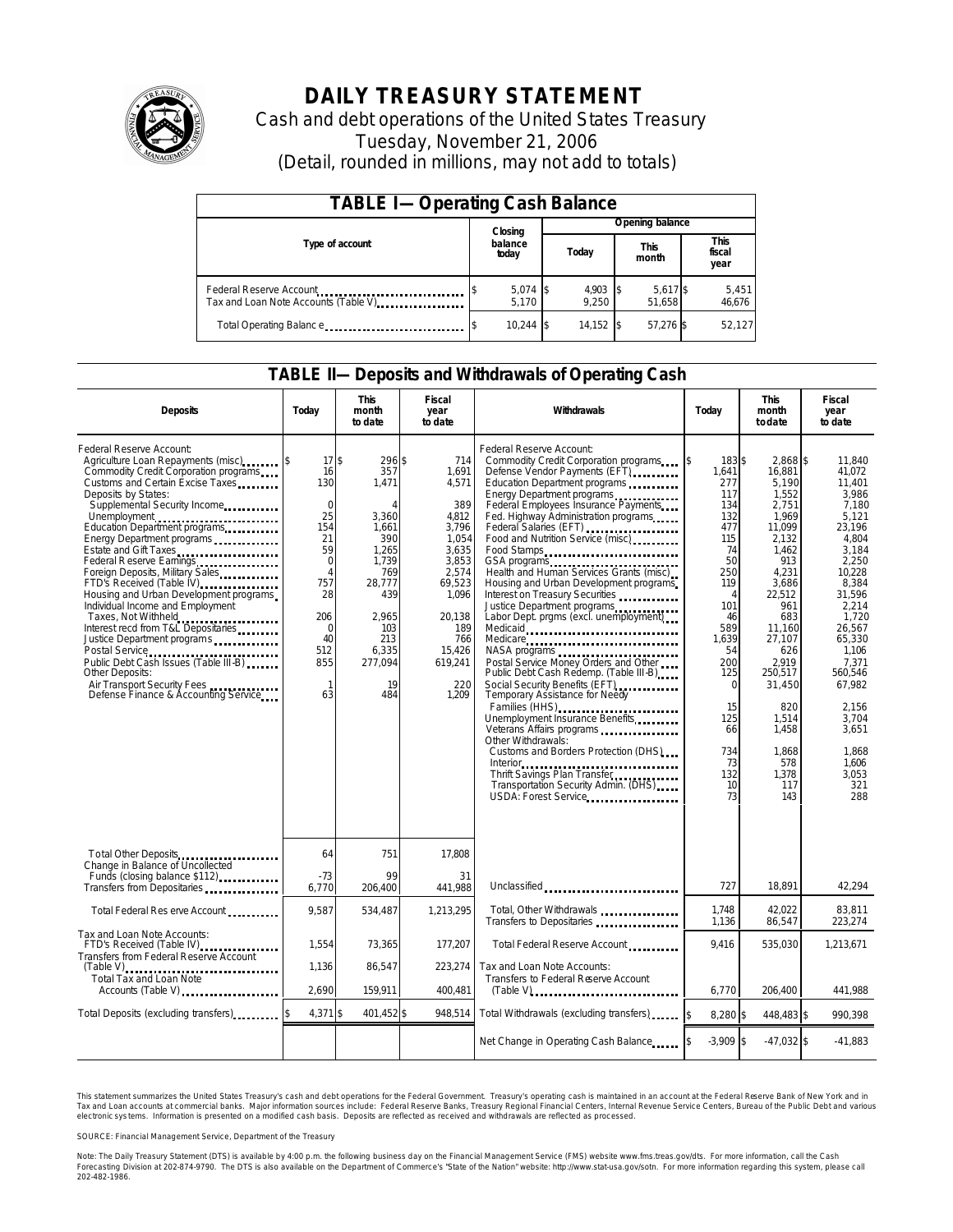

## **DAILY TREASURY STATEMENT**

Cash and debt operations of the United States Treasury Tuesday, November 21, 2006 (Detail, rounded in millions, may not add to totals)

| <b>TABLE I-Operating Cash Balance</b>                           |  |                     |  |                     |  |                      |  |                        |  |
|-----------------------------------------------------------------|--|---------------------|--|---------------------|--|----------------------|--|------------------------|--|
|                                                                 |  | Closing             |  | Opening balance     |  |                      |  |                        |  |
| Type of account                                                 |  | balance<br>today    |  | Today               |  | <b>This</b><br>month |  | This<br>fiscal<br>year |  |
| Federal Reserve Account<br>Tax and Loan Note Accounts (Table V) |  | $5,074$ \$<br>5.170 |  | $4,903$ \$<br>9.250 |  | 5,617 \$<br>51,658   |  | 5,451<br>46,676        |  |
| Total Operating Balance                                         |  | $10.244$ \\$        |  | 14.152              |  | 57,276 \$            |  | 52,127                 |  |

#### **TABLE II—Deposits and Withdrawals of Operating Cash**

| <b>Deposits</b>                                                                                                                                                                                                                                                                                                                                                                                                                                                                                                                                                                                                                                                                                                           | Today                                                                                                                                                        | <b>This</b><br>month<br>to date                                                                                                                                | <b>Fiscal</b><br>Withdrawals<br>Today<br>year<br>to date                                                                                                           |                                                                                                                                                                                                                                                                                                                                                                                                                                                                                                                                                                                                                                                                                                                                                                                                                                                                                                                                                                         | <b>This</b><br>month<br>todate                                                                                                                                                                                 | <b>Fiscal</b><br>year<br>to date                                                                                                                                                                                                                             |                                                                                                                                                                                                                                                                          |
|---------------------------------------------------------------------------------------------------------------------------------------------------------------------------------------------------------------------------------------------------------------------------------------------------------------------------------------------------------------------------------------------------------------------------------------------------------------------------------------------------------------------------------------------------------------------------------------------------------------------------------------------------------------------------------------------------------------------------|--------------------------------------------------------------------------------------------------------------------------------------------------------------|----------------------------------------------------------------------------------------------------------------------------------------------------------------|--------------------------------------------------------------------------------------------------------------------------------------------------------------------|-------------------------------------------------------------------------------------------------------------------------------------------------------------------------------------------------------------------------------------------------------------------------------------------------------------------------------------------------------------------------------------------------------------------------------------------------------------------------------------------------------------------------------------------------------------------------------------------------------------------------------------------------------------------------------------------------------------------------------------------------------------------------------------------------------------------------------------------------------------------------------------------------------------------------------------------------------------------------|----------------------------------------------------------------------------------------------------------------------------------------------------------------------------------------------------------------|--------------------------------------------------------------------------------------------------------------------------------------------------------------------------------------------------------------------------------------------------------------|--------------------------------------------------------------------------------------------------------------------------------------------------------------------------------------------------------------------------------------------------------------------------|
| Federal Reserve Account:<br>Agriculture Loan Repayments (misc) [\$<br>Commodity Credit Corporation programs<br>Customs and Certain Excise Taxes<br>Deposits by States:<br>Supplemental Security Income<br>Unemployment<br>Education Department programs<br>Energy Department programs<br>Estate and Gift Taxes<br>Federal Reserve Earnings<br>Foreign Deposits, Military Sales<br>FTD's Received (Table IV)<br>Housing and Urban Development programs<br>Individual Income and Employment<br>Taxes, Not Withheld<br>Interest recd from T&L Depositaries<br>Justice Department programs<br>Public Debt Cash Issues (Table III-B)<br>Other Deposits:<br>Air Transport Security Fees<br>Defense Finance & Accounting Service | 17S<br>16<br>130<br>$\mathbf 0$<br>25<br>154<br>21<br>59<br>$\mathbf 0$<br>$\overline{A}$<br>757<br>28<br>206<br>0<br>40<br>512<br>855<br>$\mathbf{1}$<br>63 | 296 \$<br>357<br>1,471<br>$\Lambda$<br>3,360<br>1,661<br>390<br>1,265<br>1,739<br>769<br>28,777<br>439<br>2.965<br>103<br>213<br>6,335<br>277,094<br>19<br>484 | 714<br>1,691<br>4,571<br>389<br>4.812<br>3.796<br>1.054<br>3,635<br>3,853<br>2.574<br>69,523<br>1,096<br>20.138<br>189<br>766<br>15,426<br>619,241<br>220<br>1.209 | Federal Reserve Account:<br>Commodity Credit Corporation programs<br>Defense Vendor Payments (EFT)<br>Education Department programs<br>Energy Department programs<br>Federal Employees Insurance Payments<br>Fed. Highway Administration programs<br>Federal Salaries (EFT)<br>Food and Nutrition Service (misc)<br>Food Stamps<br>GSA programs<br>Health and Human Services Grants (misc)<br>Housing and Urban Development programs<br>Interest on Treasury Securities<br>Justice Department programs<br>Labor Dept. prgms (excl. unemployment)<br>Medicaid<br>Medicare<br>NASA programs<br>Postal Service Money Orders and Other<br>Public Debt Cash Redemp. (Table III B)<br>Social Security Benefits (EFT)<br><br>Temporary Assistance for Needy<br>Families (HHS)<br>Unemployment Insurance Benefits<br>Other Withdrawals:<br>Customs and Borders Protection (DHS)<br>Thrift Savings Plan Transfer<br>Transportation Security Admin. (DHS)<br>USDA: Forest Service | 183 \$<br>\$<br>1,641<br>277<br>117<br>134<br>132<br>477<br>115<br>74<br>50<br>250<br>119<br>4<br>101<br>46<br>589<br>1,639<br>54<br>200<br>125<br>$\Omega$<br>15<br>125<br>66<br>734<br>73<br>132<br>10<br>73 | 2,868 \$<br>16,881<br>5,190<br>1,552<br>2,751<br>1.969<br>11.099<br>2.132<br>1.462<br>913<br>4.231<br>3,686<br>22.512<br>961<br>683<br>11.160<br>27,107<br>626<br>2.919<br>250.517<br>31,450<br>820<br>1,514<br>1,458<br>1.868<br>578<br>1,378<br>117<br>143 | 11,840<br>41.072<br>11,401<br>3.986<br>7,180<br>5.121<br>23,196<br>4.804<br>3.184<br>2,250<br>10.228<br>8,384<br>31.596<br>2.214<br>1.720<br>26.567<br>65,330<br>1.106<br>7,371<br>560.546<br>67,982<br>2.156<br>3,704<br>3,651<br>1.868<br>1.606<br>3.053<br>321<br>288 |
| Total Other Deposits<br><br>Change in Balance of Uncollected                                                                                                                                                                                                                                                                                                                                                                                                                                                                                                                                                                                                                                                              | 64                                                                                                                                                           | 751                                                                                                                                                            | 17,808                                                                                                                                                             |                                                                                                                                                                                                                                                                                                                                                                                                                                                                                                                                                                                                                                                                                                                                                                                                                                                                                                                                                                         |                                                                                                                                                                                                                |                                                                                                                                                                                                                                                              |                                                                                                                                                                                                                                                                          |
| Funds (closing balance \$112)<br>Funds (closing balance \$112)<br>Transfers from Depositaries                                                                                                                                                                                                                                                                                                                                                                                                                                                                                                                                                                                                                             | $-73$<br>6.770                                                                                                                                               | 99<br>206.400                                                                                                                                                  | 31<br>441.988                                                                                                                                                      | Unclassified<br>                                                                                                                                                                                                                                                                                                                                                                                                                                                                                                                                                                                                                                                                                                                                                                                                                                                                                                                                                        | 727                                                                                                                                                                                                            | 18.891                                                                                                                                                                                                                                                       | 42,294                                                                                                                                                                                                                                                                   |
| Total Federal Res erve Account                                                                                                                                                                                                                                                                                                                                                                                                                                                                                                                                                                                                                                                                                            | 9,587                                                                                                                                                        | 534,487                                                                                                                                                        | 1,213,295                                                                                                                                                          | Total, Other Withdrawals<br>Transfers to Depositaries                                                                                                                                                                                                                                                                                                                                                                                                                                                                                                                                                                                                                                                                                                                                                                                                                                                                                                                   | 1.748<br>1,136                                                                                                                                                                                                 | 42.022<br>86,547                                                                                                                                                                                                                                             | 83,811<br>223,274                                                                                                                                                                                                                                                        |
| Tax and Loan Note Accounts:<br>FTD's Received (Table IV)<br>Transfers from Federal Reserve Account                                                                                                                                                                                                                                                                                                                                                                                                                                                                                                                                                                                                                        | 1,554                                                                                                                                                        | 73,365                                                                                                                                                         | 177,207                                                                                                                                                            | Total Federal Reserve Account                                                                                                                                                                                                                                                                                                                                                                                                                                                                                                                                                                                                                                                                                                                                                                                                                                                                                                                                           | 9,416                                                                                                                                                                                                          | 535,030                                                                                                                                                                                                                                                      | 1,213,671                                                                                                                                                                                                                                                                |
| <b>Total Tax and Loan Note</b><br>Accounts (Table V)                                                                                                                                                                                                                                                                                                                                                                                                                                                                                                                                                                                                                                                                      | 1,136<br>2.690                                                                                                                                               | 86,547<br>159.911                                                                                                                                              | 223,274<br>400.481                                                                                                                                                 | Tax and Loan Note Accounts:<br>Transfers to Federal Reserve Account                                                                                                                                                                                                                                                                                                                                                                                                                                                                                                                                                                                                                                                                                                                                                                                                                                                                                                     | 6.770                                                                                                                                                                                                          | 206.400                                                                                                                                                                                                                                                      | 441.988                                                                                                                                                                                                                                                                  |
| Total Deposits (excluding transfers)                                                                                                                                                                                                                                                                                                                                                                                                                                                                                                                                                                                                                                                                                      | 4,371 \$                                                                                                                                                     | 401,452 \$                                                                                                                                                     | 948,514                                                                                                                                                            | Total Withdrawals (excluding transfers)                                                                                                                                                                                                                                                                                                                                                                                                                                                                                                                                                                                                                                                                                                                                                                                                                                                                                                                                 | 8.280 \$                                                                                                                                                                                                       | 448.483 \$                                                                                                                                                                                                                                                   | 990.398                                                                                                                                                                                                                                                                  |
|                                                                                                                                                                                                                                                                                                                                                                                                                                                                                                                                                                                                                                                                                                                           |                                                                                                                                                              |                                                                                                                                                                |                                                                                                                                                                    | Net Change in Operating Cash Balance                                                                                                                                                                                                                                                                                                                                                                                                                                                                                                                                                                                                                                                                                                                                                                                                                                                                                                                                    | $-3.909$ \$                                                                                                                                                                                                    | $-47.032$ \$                                                                                                                                                                                                                                                 | $-41.883$                                                                                                                                                                                                                                                                |

This statement summarizes the United States Treasury's cash and debt operations for the Federal Government. Treasury's operating cash is maintained in an account at the Federal Reserve Bank of New York and in Tax and Loan accounts at commercial banks. Major information sources include: Federal Reserve Banks, Treasury Regional Financial Centers, Internal Revenue Service Centers, Bureau of the Public Debt and various<br>electronic s

SOURCE: Financial Management Service, Department of the Treasury

Note: The Daily Treasury Statement (DTS) is available by 4:00 p.m. the following business day on the Financial Management Service (FMS) website www.fms.treas.gov/dts.<br>Forecasting Division at 202-874-9790. The DTS is also a 'S) is available by 4:00 p.m. the following business day on the Financial Management Service (FMS) website www.fms.treas.gov/dts. For more information, call the Cash<br>The DTS is also available on the Department of Commerce'